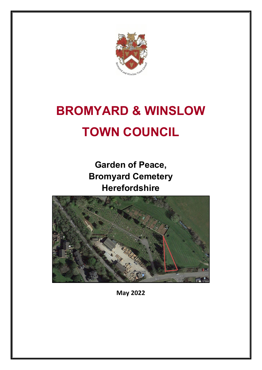

# **BROMYARD & WINSLOW TOWN COUNCIL**

**Garden of Peace, Bromyard Cemetery Herefordshire**



**May 2022**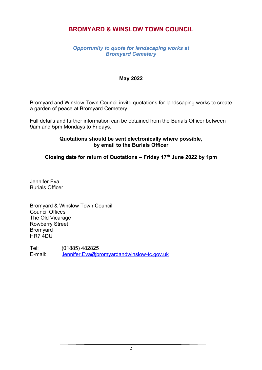# **BROMYARD & WINSLOW TOWN COUNCIL**

## *Opportunity to quote for landscaping works at Bromyard Cemetery*

#### **May 2022**

Bromyard and Winslow Town Council invite quotations for landscaping works to create a garden of peace at Bromyard Cemetery.

Full details and further information can be obtained from the Burials Officer between 9am and 5pm Mondays to Fridays.

#### **Quotations should be sent electronically where possible, by email to the Burials Officer**

**Closing date for return of Quotations – Friday 17th June 2022 by 1pm**

Jennifer Eva Burials Officer

Bromyard & Winslow Town Council Council Offices The Old Vicarage Rowberry Street Bromyard HR7 4DU

Tel: (01885) 482825 E-mail: [Jennifer.Eva@bromyardandwinslow-tc.gov.uk](mailto:Jennifer.Eva@bromyardandwinslow-tc.gov.uk)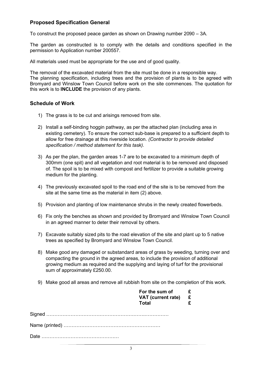## **Proposed Specification General**

To construct the proposed peace garden as shown on Drawing number 2090 – 3A.

The garden as constructed is to comply with the details and conditions specified in the permission to Application number 200557.

All materials used must be appropriate for the use and of good quality.

The removal of the excavated material from the site must be done in a responsible way. The planning specification, including trees and the provision of plants is to be agreed with Bromyard and Winslow Town Council before work on the site commences. The quotation for this work is to **INCLUDE** the provision of any plants.

#### **Schedule of Work**

- 1) The grass is to be cut and arisings removed from site.
- 2) Install a self-binding hoggin pathway, as per the attached plan (including area in existing cemetery). To ensure the correct sub-base is prepared to a sufficient depth to allow for free drainage at this riverside location. *(Contractor to provide detailed specification / method statement for this task).*
- 3) As per the plan, the garden areas 1-7 are to be excavated to a minimum depth of 300mm (one spit) and all vegetation and root material is to be removed and disposed of. The spoil is to be mixed with compost and fertilizer to provide a suitable growing medium for the planting.
- 4) The previously excavated spoil to the road end of the site is to be removed from the site at the same time as the material in item (2) above.
- 5) Provision and planting of low maintenance shrubs in the newly created flowerbeds.
- 6) Fix only the benches as shown and provided by Bromyard and Winslow Town Council in an agreed manner to deter their removal by others.
- 7) Excavate suitably sized pits to the road elevation of the site and plant up to 5 native trees as specified by Bromyard and Winslow Town Council.
- 8) Make good any damaged or substandard areas of grass by weeding, turning over and compacting the ground in the agreed areas, to include the provision of additional growing medium as required and the supplying and laying of turf for the provisional sum of approximately £250.00.
- 9) Make good all areas and remove all rubbish from site on the completion of this work.

| For the sum of $\epsilon$<br>VAT (current rate) $E$<br><b>Total</b> |  |
|---------------------------------------------------------------------|--|
|                                                                     |  |
|                                                                     |  |
|                                                                     |  |